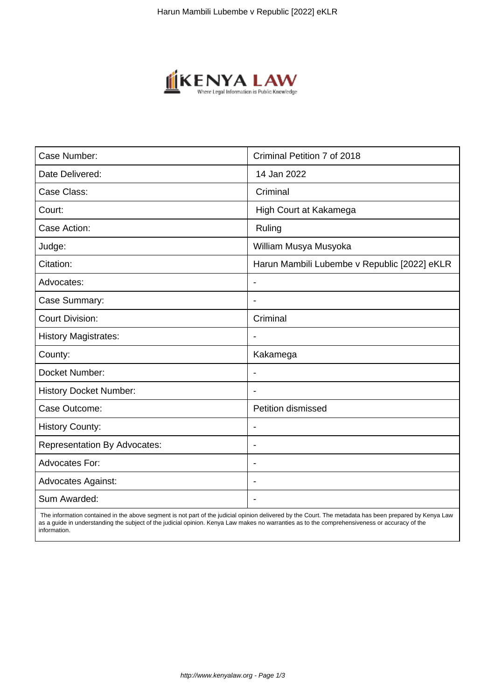

| Case Number:                        | Criminal Petition 7 of 2018                  |
|-------------------------------------|----------------------------------------------|
| Date Delivered:                     | 14 Jan 2022                                  |
| Case Class:                         | Criminal                                     |
| Court:                              | High Court at Kakamega                       |
| Case Action:                        | Ruling                                       |
| Judge:                              | William Musya Musyoka                        |
| Citation:                           | Harun Mambili Lubembe v Republic [2022] eKLR |
| Advocates:                          | $\blacksquare$                               |
| Case Summary:                       | $\blacksquare$                               |
| <b>Court Division:</b>              | Criminal                                     |
| <b>History Magistrates:</b>         |                                              |
| County:                             | Kakamega                                     |
| Docket Number:                      | $\blacksquare$                               |
| <b>History Docket Number:</b>       |                                              |
| Case Outcome:                       | Petition dismissed                           |
| <b>History County:</b>              | $\blacksquare$                               |
| <b>Representation By Advocates:</b> | $\blacksquare$                               |
| <b>Advocates For:</b>               | $\overline{\phantom{a}}$                     |
| <b>Advocates Against:</b>           | $\overline{\phantom{0}}$                     |
| Sum Awarded:                        |                                              |

 The information contained in the above segment is not part of the judicial opinion delivered by the Court. The metadata has been prepared by Kenya Law as a guide in understanding the subject of the judicial opinion. Kenya Law makes no warranties as to the comprehensiveness or accuracy of the information.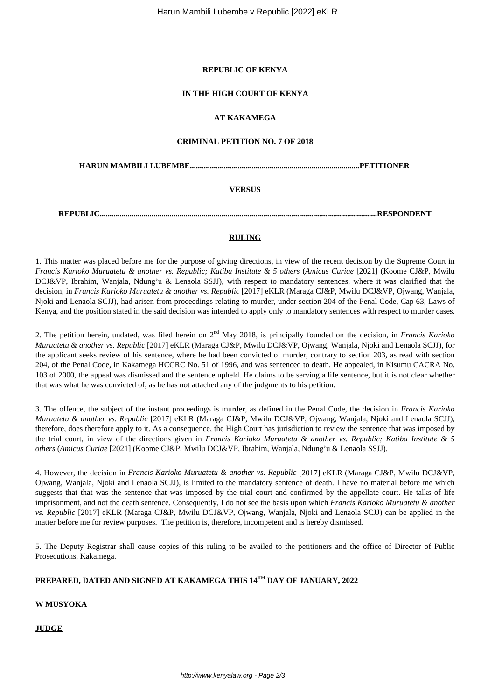Harun Mambili Lubembe v Republic [2022] eKLR

#### **REPUBLIC OF KENYA**

## **IN THE HIGH COURT OF KENYA**

#### **AT KAKAMEGA**

## **CRIMINAL PETITION NO. 7 OF 2018**

**HARUN MAMBILI LUBEMBE.....................................................................................PETITIONER** 

**VERSUS**

**REPUBLIC...........................................................................................................................................RESPONDENT**

## **RULING**

1. This matter was placed before me for the purpose of giving directions, in view of the recent decision by the Supreme Court in *Francis Karioko Muruatetu & another vs. Republic; Katiba Institute & 5 others* (*Amicus Curiae* [2021] (Koome CJ&P, Mwilu DCJ&VP, Ibrahim, Wanjala, Ndung'u & Lenaola SSJJ), with respect to mandatory sentences, where it was clarified that the decision, in *Francis Karioko Muruatetu & another vs. Republic* [2017] eKLR (Maraga CJ&P, Mwilu DCJ&VP, Ojwang, Wanjala, Njoki and Lenaola SCJJ), had arisen from proceedings relating to murder, under section 204 of the Penal Code, Cap 63, Laws of Kenya, and the position stated in the said decision was intended to apply only to mandatory sentences with respect to murder cases.

2. The petition herein, undated, was filed herein on 2nd May 2018, is principally founded on the decision, in *Francis Karioko Muruatetu & another vs. Republic* [2017] eKLR (Maraga CJ&P, Mwilu DCJ&VP, Ojwang, Wanjala, Njoki and Lenaola SCJJ), for the applicant seeks review of his sentence, where he had been convicted of murder, contrary to section 203, as read with section 204, of the Penal Code, in Kakamega HCCRC No. 51 of 1996, and was sentenced to death. He appealed, in Kisumu CACRA No. 103 of 2000, the appeal was dismissed and the sentence upheld. He claims to be serving a life sentence, but it is not clear whether that was what he was convicted of, as he has not attached any of the judgments to his petition.

3. The offence, the subject of the instant proceedings is murder, as defined in the Penal Code, the decision in *Francis Karioko Muruatetu & another vs. Republic* [2017] eKLR (Maraga CJ&P, Mwilu DCJ&VP, Ojwang, Wanjala, Njoki and Lenaola SCJJ), therefore, does therefore apply to it. As a consequence, the High Court has jurisdiction to review the sentence that was imposed by the trial court, in view of the directions given in *Francis Karioko Muruatetu & another vs. Republic; Katiba Institute & 5 others* (*Amicus Curiae* [2021] (Koome CJ&P, Mwilu DCJ&VP, Ibrahim, Wanjala, Ndung'u & Lenaola SSJJ).

4. However, the decision in *Francis Karioko Muruatetu & another vs. Republic* [2017] eKLR (Maraga CJ&P, Mwilu DCJ&VP, Ojwang, Wanjala, Njoki and Lenaola SCJJ), is limited to the mandatory sentence of death. I have no material before me which suggests that that was the sentence that was imposed by the trial court and confirmed by the appellate court. He talks of life imprisonment, and not the death sentence. Consequently, I do not see the basis upon which *Francis Karioko Muruatetu & another vs. Republic* [2017] eKLR (Maraga CJ&P, Mwilu DCJ&VP, Ojwang, Wanjala, Njoki and Lenaola SCJJ) can be applied in the matter before me for review purposes. The petition is, therefore, incompetent and is hereby dismissed.

5. The Deputy Registrar shall cause copies of this ruling to be availed to the petitioners and the office of Director of Public Prosecutions, Kakamega.

# **PREPARED, DATED AND SIGNED AT KAKAMEGA THIS 14TH DAY OF JANUARY, 2022**

## **W MUSYOKA**

**JUDGE**